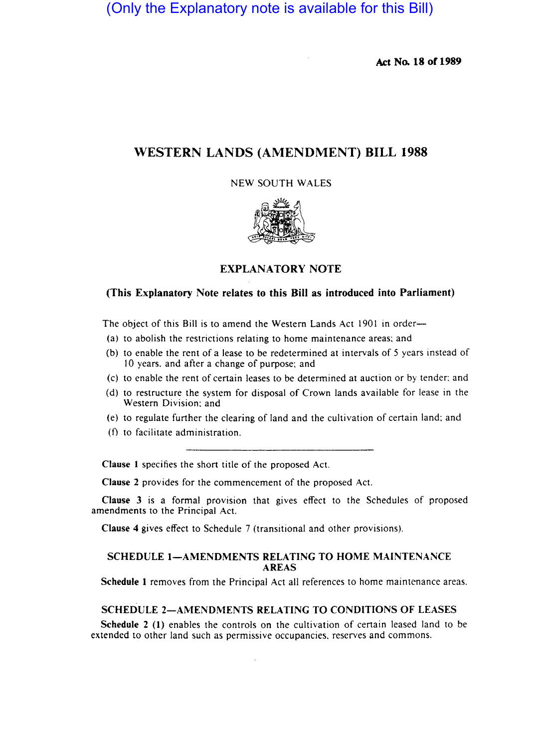(Only the Explanatory note is available for this Bill)

**Ad No. 18 of 1989** 

# **WESTERN LANDS (AMENDMENT) BILL 1988**

### NEW SOUTH WALES



## **EXPLANATORY NOTE**

## **(This Explanatory Note relates to this Bill as introduced into Parliament)**

The object of this Bill is to amend the Western Lands Act 1901 in order-

- (a) to abolish the restrictions relating to home maintenance areas; and
- (b) to enable the rent of a lease to be redetermined at intervals of 5 years instead of 10 years. and after a change of purpose; and
- (c) to enable the rent of certain leases to be determined at auction or by tender: and
- (d) to restructure the system for disposal of Crown lands available for lease in the Western Division: and
- (e) to regulate further the clearing of land and the cultivation of certain land; and
- (f) to facilitate administration.

**Clause I** specifies the short title of the proposed Act.

**Clause 2** provides for the commencement of the proposed Act.

**Clause 3** is a formal provision that gives effect to the Schedules of proposed amendments to the Principal Act.

**Clause 4** gives effect to Schedule 7 (transitional and other provisions).

### **SCHEDULE I-AMENDMENTS RELATING TO HOME MAINTENANCE AREAS**

**Schedule I** removes from the Principal Act all references to home maintenance areas.

#### **SCHEDULE 2-AMENDMENTS RELATING TO CONDITIONS OF LEASES**

**Schedule 2 (I)** enables the controls on the cultivation of certain leased land to be extended to other land such as permissive occupancies. reserves and commons.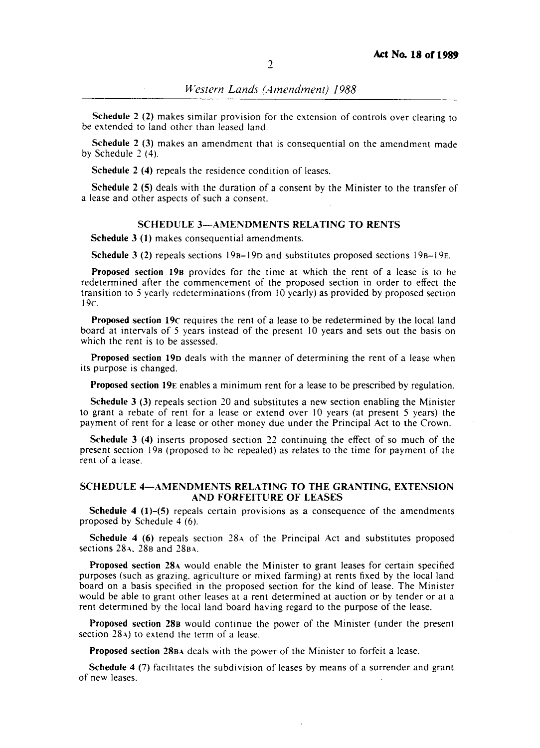Schedule 2 (2) makes similar provision for the extension of controls over clearing to be extended to land other than leased land.

Schedule 2 (3) makes an amendment that is consequential on the amendment made by Schedule 2 (4).

Schedule 2 (4) repeals the residence condition of leases.

Schedule 2 (5) deals with the duration of a consent bv the Minister to the transfer of a lease and other aspects of such a consent.

#### SCHEDULE 3-AMENDMENTS RELATING TO RENTS

Schedule 3 (I) makes consequential amendments.

Schedule 3 (2) repeals sections  $19B-19D$  and substitutes proposed sections  $19B-19E$ .

Proposed section 198 provides for the time at which the rent of a lease is to be redetermined after the commencement of the proposed section in order to effect the transition to 5 yearly redeterminations (from 10 yearly) as provided by proposed section 19c.

Proposed section 19c requires the rent of a lease to be redetermined by the local land board at intervals of 5 years instead of the present 10 years and sets out the basis on which the rent is to be assessed.

Proposed section 19D deals with the manner of determining the rent of a lease when its purpose is changed.

Proposed section 19E enables a minimum rent for a lease to be prescribed by regulation.

Schedule 3 (3) repeals section 20 and substitutes a new section enabling the Minister to grant a rebate of rent for a lease or extend over 10 years (at present 5 years) the payment of rent for a lease or other money due under the Principal Act to the Crown.

Schedule 3 (4) inserts proposed section 22 continuing the effect of so much of the present section 19B (proposed to be repealed) as relates to the time for payment of the rent of a lease.

#### SCHEDULE 4-AMENDMENTS RELATING TO THE GRANTING. EXTENSION AND FORFEITURE OF LEASES

Schedule 4  $(1)$ –(5) repeals certain provisions as a consequence of the amendments proposed by Schedule 4 (6).

Schedule 4 (6) repeals section  $28\text{A}$  of the Principal Act and substitutes proposed sections  $28A$ ,  $28B$  and  $28BA$ .

Proposed section 28A would enable the Minister to grant leases for certain specified purposes (such as grazing. agriculture or mixed farming) at rents fixed by the local land board on a basis specified in the proposed section for the kind of lease. The Minister would be able to grant other leases at a rent determined at auction or by tender or at a rent determined by the local land board having regard to the purpose of the lease.

Proposed section 288 would continue the power of the Minister (under the present section 28 $\alpha$ ) to extend the term of a lease.

Proposed section 280A deals with the power of the Minister to forfeit a lease.

Schedule 4 (7) facilitates the subdivision of leases by means of a surrender and grant of new leases.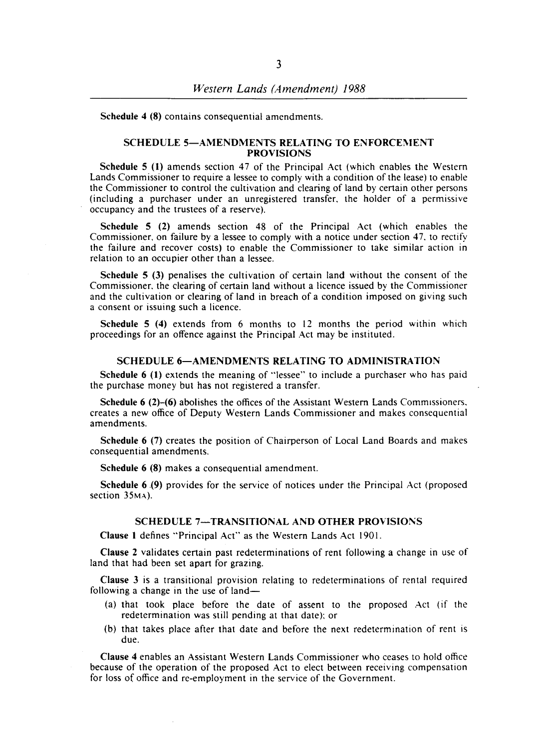Schedule 4 (8) contains consequential amendments.

#### SCHEDULE 5-AMENDMENTS RELATING TO ENFORCEMENT PROVISIONS

Schedule 5 (1) amends section 47 of the Principal Act (which enables the Western Lands Commissioner to require a lessee to comply with a condition of the lease) to enable the Commissioner to control the cultivation and clearing of land by certain other persons (including a purchaser under an unregistered transfer. the holder of a permissive occupancy and the trustees of a reserve).

Schedule 5 (2) amends section 48 of the Principal Act (which enables the Commissioner. on failure by a lessee to comply with a notice under section 47. to rectify the failure and recover costs) to enable the Commissioner to take similar action in relation to an occupier other than a lessee.

Schedule 5 (3) penalises the cultivation of certain land without the consent of the Commissioner. the clearing of certain land without a licence issued by the Commissioner and the cultivation or clearing of land in breach of a condition imposed on giving such a consent or issuing such a licence.

Schedule 5 (4) extends from 6 months to 12 months the period within which proceedings for an offence against the Principal Act may be instituted.

#### SCHEDULE 6-AMENDMENTS RELATING TO ADMINISTRATION

Schedule 6 (I) extends the meaning of "lessee" to include a purchaser who has paid the purchase money but has not registered a transfer.

Schedule 6 (2)-(6) abolishes the offices of the Assistant Western Lands Commissioners. creates a new office of Deputy Western Lands Commissioner and makes consequential amendments.

Schedule 6 (7) creates the position of Chairperson of Local Land Boards and makes consequential amendments.

Schedule 6 (8) makes a consequential amendment.

Schedule 6.(9) provides for the service of notices under the Principal Act (proposed section 35<sub>MA</sub>).

#### SCHEDULE 7-TRANSITIONAL AND OTHER PROVISIONS

Clause 1 defines "Principal Act" as the Western Lands Act 1901.

Clause 2 validates certain past redeterminations of rent following a change in use of land that had been set apart for grazing.

Clause 3 is a transitional provision relating to redeterminations of rental required following a change in the use of land-

- (a) that took place before the date of assent to the proposed Act (if the redetermination was still pending at that date); or
- (b) that takes place after that date and before the next redetermination of rent is due.

Clause 4 enables an Assistant Western Lands Commissioner who ceases to hold office because of the operation of the proposed Act to elect between receiving compensation for loss of office and re-employment in the service of the Government.